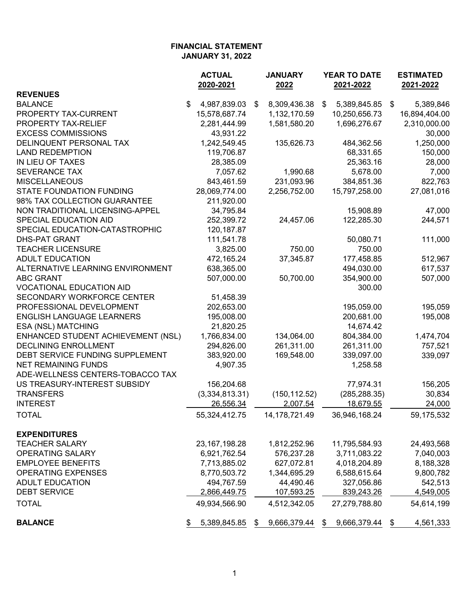|                                    | <b>ACTUAL</b>      | <b>JANUARY</b>     | YEAR TO DATE       | <b>ESTIMATED</b>  |  |
|------------------------------------|--------------------|--------------------|--------------------|-------------------|--|
|                                    | 2020-2021          | 2022               | 2021-2022          | 2021-2022         |  |
| <b>REVENUES</b>                    |                    |                    |                    |                   |  |
| <b>BALANCE</b>                     | \$<br>4,987,839.03 | 8,309,436.38<br>\$ | 5,389,845.85<br>\$ | - \$<br>5,389,846 |  |
| PROPERTY TAX-CURRENT               | 15,578,687.74      | 1,132,170.59       | 10,250,656.73      | 16,894,404.00     |  |
| PROPERTY TAX-RELIEF                | 2,281,444.99       | 1,581,580.20       | 1,696,276.67       | 2,310,000.00      |  |
| <b>EXCESS COMMISSIONS</b>          | 43,931.22          |                    |                    | 30,000            |  |
| DELINQUENT PERSONAL TAX            | 1,242,549.45       | 135,626.73         | 484,362.56         | 1,250,000         |  |
| <b>LAND REDEMPTION</b>             | 119,706.87         |                    | 68,331.65          | 150,000           |  |
| IN LIEU OF TAXES                   | 28,385.09          |                    | 25,363.16          | 28,000            |  |
| <b>SEVERANCE TAX</b>               | 7,057.62           | 1,990.68           | 5,678.00           | 7,000             |  |
| <b>MISCELLANEOUS</b>               | 843,461.59         | 231,093.96         | 384,851.36         | 822,763           |  |
| <b>STATE FOUNDATION FUNDING</b>    | 28,069,774.00      | 2,256,752.00       | 15,797,258.00      | 27,081,016        |  |
| 98% TAX COLLECTION GUARANTEE       | 211,920.00         |                    |                    |                   |  |
| NON TRADITIONAL LICENSING-APPEL    | 34,795.84          |                    | 15,908.89          | 47,000            |  |
| SPECIAL EDUCATION AID              | 252,399.72         | 24,457.06          | 122,285.30         | 244,571           |  |
| SPECIAL EDUCATION-CATASTROPHIC     | 120, 187.87        |                    |                    |                   |  |
| <b>DHS-PAT GRANT</b>               | 111,541.78         |                    | 50,080.71          | 111,000           |  |
| <b>TEACHER LICENSURE</b>           | 3,825.00           | 750.00             | 750.00             |                   |  |
| <b>ADULT EDUCATION</b>             | 472,165.24         | 37,345.87          | 177,458.85         | 512,967           |  |
| ALTERNATIVE LEARNING ENVIRONMENT   | 638,365.00         |                    | 494,030.00         | 617,537           |  |
| <b>ABC GRANT</b>                   | 507,000.00         | 50,700.00          | 354,900.00         | 507,000           |  |
| <b>VOCATIONAL EDUCATION AID</b>    |                    |                    | 300.00             |                   |  |
| SECONDARY WORKFORCE CENTER         | 51,458.39          |                    |                    |                   |  |
| PROFESSIONAL DEVELOPMENT           | 202,653.00         |                    | 195,059.00         | 195,059           |  |
| <b>ENGLISH LANGUAGE LEARNERS</b>   | 195,008.00         |                    | 200,681.00         | 195,008           |  |
| ESA (NSL) MATCHING                 | 21,820.25          |                    | 14,674.42          |                   |  |
| ENHANCED STUDENT ACHIEVEMENT (NSL) | 1,766,834.00       | 134,064.00         | 804,384.00         | 1,474,704         |  |
| <b>DECLINING ENROLLMENT</b>        | 294,826.00         | 261,311.00         | 261,311.00         | 757,521           |  |
| DEBT SERVICE FUNDING SUPPLEMENT    | 383,920.00         | 169,548.00         | 339,097.00         | 339,097           |  |
| <b>NET REMAINING FUNDS</b>         | 4,907.35           |                    | 1,258.58           |                   |  |
| ADE-WELLNESS CENTERS-TOBACCO TAX   |                    |                    |                    |                   |  |
| US TREASURY-INTEREST SUBSIDY       | 156,204.68         |                    | 77,974.31          | 156,205           |  |
| <b>TRANSFERS</b>                   | (3,334,813.31)     | (150, 112.52)      | (285, 288.35)      | 30,834            |  |
| <b>INTEREST</b>                    | 26,556.34          | 2,007.54           | 18,679.55          | 24,000            |  |
| <b>TOTAL</b>                       | 55,324,412.75      | 14, 178, 721. 49   | 36,946,168.24      | 59,175,532        |  |
|                                    |                    |                    |                    |                   |  |
| <b>EXPENDITURES</b>                |                    |                    |                    |                   |  |
| <b>TEACHER SALARY</b>              | 23, 167, 198. 28   | 1,812,252.96       | 11,795,584.93      | 24,493,568        |  |
| <b>OPERATING SALARY</b>            | 6,921,762.54       | 576,237.28         | 3,711,083.22       | 7,040,003         |  |
| <b>EMPLOYEE BENEFITS</b>           | 7,713,885.02       | 627,072.81         | 4,018,204.89       | 8,188,328         |  |
| <b>OPERATING EXPENSES</b>          | 8,770,503.72       | 1,344,695.29       | 6,588,615.64       | 9,800,782         |  |
| <b>ADULT EDUCATION</b>             | 494,767.59         | 44,490.46          | 327,056.86         | 542,513           |  |
| <b>DEBT SERVICE</b>                |                    | 107,593.25         |                    |                   |  |
|                                    | 2,866,449.75       |                    | 839,243.26         | 4,549,005         |  |
| <b>TOTAL</b>                       | 49,934,566.90      | 4,512,342.05       | 27,279,788.80      | 54,614,199        |  |
| <b>BALANCE</b>                     | 5,389,845.85       | 9,666,379.44<br>\$ | 9,666,379.44<br>\$ | 4,561,333         |  |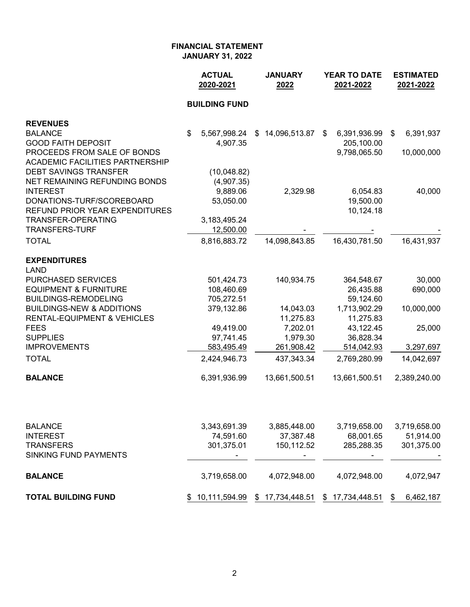|                                        | <b>ACTUAL</b><br>2020-2021 | <b>JANUARY</b><br>2022 | <b>YEAR TO DATE</b><br>2021-2022 | <b>ESTIMATED</b><br>2021-2022 |  |
|----------------------------------------|----------------------------|------------------------|----------------------------------|-------------------------------|--|
|                                        | <b>BUILDING FUND</b>       |                        |                                  |                               |  |
| <b>REVENUES</b>                        |                            |                        |                                  |                               |  |
| <b>BALANCE</b>                         | \$<br>5,567,998.24         | \$14,096,513.87        | 6,391,936.99<br>\$               | 6,391,937<br>\$               |  |
| <b>GOOD FAITH DEPOSIT</b>              | 4,907.35                   |                        | 205,100.00                       |                               |  |
| PROCEEDS FROM SALE OF BONDS            |                            |                        | 9,798,065.50                     | 10,000,000                    |  |
| <b>ACADEMIC FACILITIES PARTNERSHIP</b> |                            |                        |                                  |                               |  |
| <b>DEBT SAVINGS TRANSFER</b>           | (10,048.82)                |                        |                                  |                               |  |
| NET REMAINING REFUNDING BONDS          | (4,907.35)                 |                        |                                  |                               |  |
| <b>INTEREST</b>                        | 9,889.06                   | 2,329.98               | 6,054.83                         | 40,000                        |  |
| DONATIONS-TURF/SCOREBOARD              | 53,050.00                  |                        | 19,500.00                        |                               |  |
| <b>REFUND PRIOR YEAR EXPENDITURES</b>  |                            |                        | 10,124.18                        |                               |  |
| <b>TRANSFER-OPERATING</b>              | 3,183,495.24               |                        |                                  |                               |  |
| <b>TRANSFERS-TURF</b>                  | 12,500.00                  |                        |                                  |                               |  |
| <b>TOTAL</b>                           | 8,816,883.72               | 14,098,843.85          | 16,430,781.50                    | 16,431,937                    |  |
| <b>EXPENDITURES</b>                    |                            |                        |                                  |                               |  |
| <b>LAND</b>                            |                            |                        |                                  |                               |  |
| PURCHASED SERVICES                     | 501,424.73                 | 140,934.75             | 364,548.67                       | 30,000                        |  |
| <b>EQUIPMENT &amp; FURNITURE</b>       | 108,460.69                 |                        | 26,435.88                        | 690,000                       |  |
| <b>BUILDINGS-REMODELING</b>            | 705,272.51                 |                        | 59,124.60                        |                               |  |
| <b>BUILDINGS-NEW &amp; ADDITIONS</b>   | 379,132.86                 | 14,043.03              | 1,713,902.29                     | 10,000,000                    |  |
| <b>RENTAL-EQUIPMENT &amp; VEHICLES</b> |                            | 11,275.83              | 11,275.83                        |                               |  |
| <b>FEES</b><br><b>SUPPLIES</b>         | 49,419.00                  | 7,202.01               | 43,122.45                        | 25,000                        |  |
| <b>IMPROVEMENTS</b>                    | 97,741.45<br>583,495.49    | 1,979.30<br>261,908.42 | 36,828.34<br>514,042.93          | 3,297,697                     |  |
| <b>TOTAL</b>                           | 2,424,946.73               | 437,343.34             | 2,769,280.99                     | 14,042,697                    |  |
|                                        |                            |                        |                                  |                               |  |
| <b>BALANCE</b>                         | 6,391,936.99               | 13,661,500.51          | 13,661,500.51                    | 2,389,240.00                  |  |
| <b>BALANCE</b>                         | 3,343,691.39               | 3,885,448.00           | 3,719,658.00                     | 3,719,658.00                  |  |
| <b>INTEREST</b>                        | 74,591.60                  | 37,387.48              | 68,001.65                        | 51,914.00                     |  |
| <b>TRANSFERS</b>                       | 301,375.01                 | 150,112.52             | 285,288.35                       | 301,375.00                    |  |
| <b>SINKING FUND PAYMENTS</b>           |                            |                        |                                  |                               |  |
| <b>BALANCE</b>                         | 3,719,658.00               | 4,072,948.00           | 4,072,948.00                     | 4,072,947                     |  |
| <b>TOTAL BUILDING FUND</b>             | \$10,111,594.99            | \$17,734,448.51        | \$17,734,448.51                  | 6,462,187<br>\$               |  |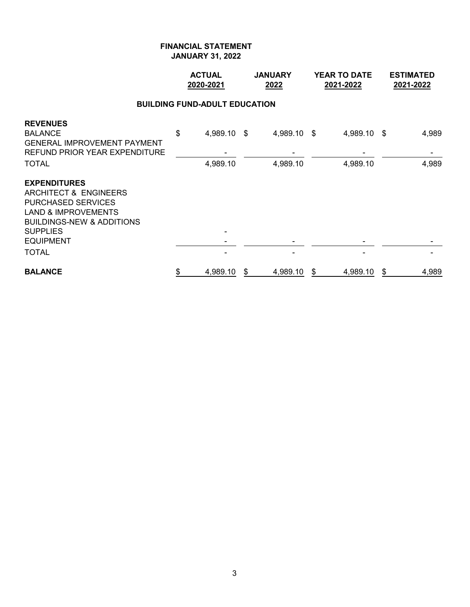|                                                                                                                                                                                                            | <b>ACTUAL</b><br>2020-2021 |                                      | <b>JANUARY</b><br>2022 |                         | <b>YEAR TO DATE</b><br>2021-2022 |                         | <b>ESTIMATED</b><br>2021-2022 |
|------------------------------------------------------------------------------------------------------------------------------------------------------------------------------------------------------------|----------------------------|--------------------------------------|------------------------|-------------------------|----------------------------------|-------------------------|-------------------------------|
|                                                                                                                                                                                                            |                            | <b>BUILDING FUND-ADULT EDUCATION</b> |                        |                         |                                  |                         |                               |
| <b>REVENUES</b><br><b>BALANCE</b><br><b>GENERAL IMPROVEMENT PAYMENT</b><br>REFUND PRIOR YEAR EXPENDITURE<br><b>TOTAL</b>                                                                                   | \$                         | 4,989.10 \$<br>4,989.10              |                        | 4,989.10 \$<br>4,989.10 |                                  | 4,989.10 \$<br>4,989.10 | 4,989<br>4,989                |
| <b>EXPENDITURES</b><br>ARCHITECT & ENGINEERS<br><b>PURCHASED SERVICES</b><br><b>LAND &amp; IMPROVEMENTS</b><br><b>BUILDINGS-NEW &amp; ADDITIONS</b><br><b>SUPPLIES</b><br><b>EQUIPMENT</b><br><b>TOTAL</b> |                            |                                      |                        |                         |                                  |                         |                               |
| <b>BALANCE</b>                                                                                                                                                                                             | \$                         | 4,989.10                             | \$                     | 4,989.10                | \$                               | 4,989.10                | \$<br>4,989                   |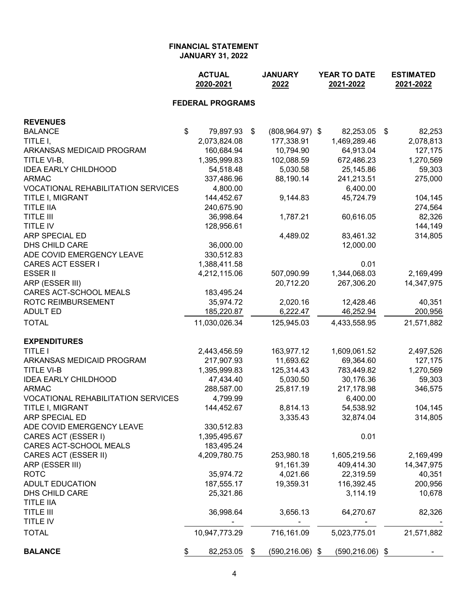|                                           | <b>ACTUAL</b><br>2020-2021 | <b>JANUARY</b><br>2022   | YEAR TO DATE<br>2021-2022 | <b>ESTIMATED</b><br>2021-2022 |  |
|-------------------------------------------|----------------------------|--------------------------|---------------------------|-------------------------------|--|
|                                           | <b>FEDERAL PROGRAMS</b>    |                          |                           |                               |  |
| <b>REVENUES</b>                           |                            |                          |                           |                               |  |
| <b>BALANCE</b>                            | \$<br>79,897.93            | \$<br>$(808, 964.97)$ \$ | 82,253.05 \$              | 82,253                        |  |
| TITLE I,                                  | 2,073,824.08               | 177,338.91               | 1,469,289.46              | 2,078,813                     |  |
| ARKANSAS MEDICAID PROGRAM                 | 160,684.94                 | 10,794.90                | 64,913.04                 | 127,175                       |  |
| TITLE VI-B,                               | 1,395,999.83               | 102,088.59               | 672,486.23                | 1,270,569                     |  |
| <b>IDEA EARLY CHILDHOOD</b>               | 54,518.48                  | 5,030.58                 | 25,145.86                 | 59,303                        |  |
| <b>ARMAC</b>                              | 337,486.96                 | 88,190.14                | 241,213.51                | 275,000                       |  |
| <b>VOCATIONAL REHABILITATION SERVICES</b> | 4,800.00                   |                          | 6,400.00                  |                               |  |
| TITLE I, MIGRANT                          | 144,452.67                 | 9,144.83                 | 45,724.79                 | 104,145                       |  |
| <b>TITLE IIA</b>                          | 240,675.90                 |                          |                           | 274,564                       |  |
| <b>TITLE III</b>                          | 36,998.64                  | 1,787.21                 | 60,616.05                 | 82,326                        |  |
| TITLE IV                                  | 128,956.61                 |                          |                           | 144,149                       |  |
| <b>ARP SPECIAL ED</b>                     |                            | 4,489.02                 | 83,461.32                 | 314,805                       |  |
| DHS CHILD CARE                            | 36,000.00                  |                          | 12,000.00                 |                               |  |
| ADE COVID EMERGENCY LEAVE                 | 330,512.83                 |                          |                           |                               |  |
| <b>CARES ACT ESSER I</b>                  | 1,388,411.58               |                          | 0.01                      |                               |  |
| <b>ESSER II</b>                           | 4,212,115.06               | 507,090.99               | 1,344,068.03              | 2,169,499                     |  |
| ARP (ESSER III)                           |                            | 20,712.20                | 267,306.20                | 14,347,975                    |  |
| CARES ACT-SCHOOL MEALS                    | 183,495.24                 |                          |                           |                               |  |
| ROTC REIMBURSEMENT                        | 35,974.72                  | 2,020.16                 | 12,428.46                 | 40,351                        |  |
| <b>ADULT ED</b>                           | 185,220.87                 | 6,222.47                 | 46,252.94                 | 200,956                       |  |
| <b>TOTAL</b>                              | 11,030,026.34              | 125,945.03               | 4,433,558.95              | 21,571,882                    |  |
| <b>EXPENDITURES</b>                       |                            |                          |                           |                               |  |
| <b>TITLE I</b>                            | 2,443,456.59               | 163,977.12               | 1,609,061.52              | 2,497,526                     |  |
| ARKANSAS MEDICAID PROGRAM                 | 217,907.93                 | 11,693.62                | 69,364.60                 | 127,175                       |  |
| <b>TITLE VI-B</b>                         | 1,395,999.83               | 125,314.43               | 783,449.82                | 1,270,569                     |  |
| <b>IDEA EARLY CHILDHOOD</b>               | 47,434.40                  | 5,030.50                 | 30,176.36                 | 59,303                        |  |
| <b>ARMAC</b>                              | 288,587.00                 | 25,817.19                | 217,178.98                | 346,575                       |  |
| <b>VOCATIONAL REHABILITATION SERVICES</b> | 4,799.99                   |                          | 6,400.00                  |                               |  |
| TITLE I, MIGRANT                          | 144,452.67                 | 8,814.13                 | 54,538.92                 | 104,145                       |  |
| ARP SPECIAL ED                            |                            | 3,335.43                 | 32,874.04                 | 314,805                       |  |
| ADE COVID EMERGENCY LEAVE                 | 330,512.83                 |                          |                           |                               |  |
| CARES ACT (ESSER I)                       | 1,395,495.67               |                          | 0.01                      |                               |  |
| CARES ACT-SCHOOL MEALS                    | 183,495.24                 |                          |                           |                               |  |
| CARES ACT (ESSER II)                      | 4,209,780.75               | 253,980.18               | 1,605,219.56              | 2,169,499                     |  |
| ARP (ESSER III)                           |                            | 91,161.39                | 409,414.30                | 14,347,975                    |  |
| <b>ROTC</b>                               | 35,974.72                  | 4,021.66                 | 22,319.59                 | 40,351                        |  |
| <b>ADULT EDUCATION</b>                    | 187,555.17                 | 19,359.31                | 116,392.45                | 200,956                       |  |
| DHS CHILD CARE                            | 25,321.86                  |                          | 3,114.19                  | 10,678                        |  |
| <b>TITLE IIA</b>                          |                            |                          |                           |                               |  |
| <b>TITLE III</b>                          | 36,998.64                  | 3,656.13                 | 64,270.67                 | 82,326                        |  |
| TITLE IV                                  |                            |                          |                           |                               |  |
| <b>TOTAL</b>                              | 10,947,773.29              | 716,161.09               | 5,023,775.01              | 21,571,882                    |  |
| <b>BALANCE</b>                            | 82,253.05<br>\$.           | \$<br>$(590, 216.06)$ \$ | $(590, 216.06)$ \$        |                               |  |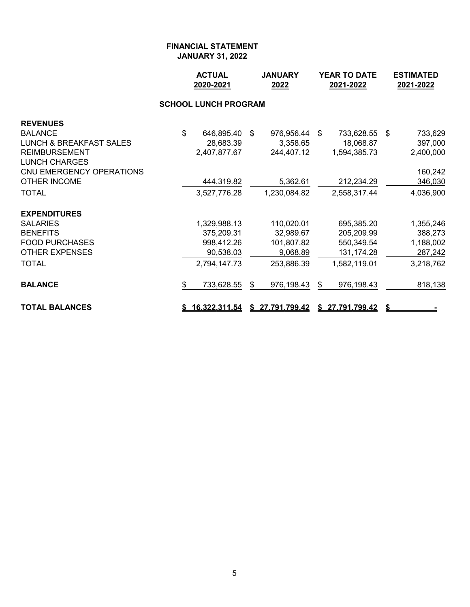|                                    |    | <b>ACTUAL</b><br>2020-2021  |      | <b>JANUARY</b><br>2022 |    | YEAR TO DATE<br>2021-2022 | <b>ESTIMATED</b><br>2021-2022 |           |  |
|------------------------------------|----|-----------------------------|------|------------------------|----|---------------------------|-------------------------------|-----------|--|
|                                    |    | <b>SCHOOL LUNCH PROGRAM</b> |      |                        |    |                           |                               |           |  |
| <b>REVENUES</b>                    |    |                             |      |                        |    |                           |                               |           |  |
| <b>BALANCE</b>                     | \$ | 646,895.40                  | - \$ | 976,956.44 \$          |    | 733,628.55                | - \$                          | 733,629   |  |
| <b>LUNCH &amp; BREAKFAST SALES</b> |    | 28,683.39                   |      | 3,358.65               |    | 18,068.87                 |                               | 397,000   |  |
| <b>REIMBURSEMENT</b>               |    | 2,407,877.67                |      | 244,407.12             |    | 1,594,385.73              |                               | 2,400,000 |  |
| <b>LUNCH CHARGES</b>               |    |                             |      |                        |    |                           |                               |           |  |
| CNU EMERGENCY OPERATIONS           |    |                             |      |                        |    |                           |                               | 160,242   |  |
| <b>OTHER INCOME</b>                |    | 444,319.82                  |      | 5,362.61               |    | 212,234.29                |                               | 346,030   |  |
| <b>TOTAL</b>                       |    | 3,527,776.28                |      | 1,230,084.82           |    | 2,558,317.44              |                               | 4,036,900 |  |
| <b>EXPENDITURES</b>                |    |                             |      |                        |    |                           |                               |           |  |
| <b>SALARIES</b>                    |    | 1,329,988.13                |      | 110,020.01             |    | 695,385.20                |                               | 1,355,246 |  |
| <b>BENEFITS</b>                    |    | 375,209.31                  |      | 32,989.67              |    | 205,209.99                |                               | 388,273   |  |
| <b>FOOD PURCHASES</b>              |    | 998,412.26                  |      | 101,807.82             |    | 550,349.54                |                               | 1,188,002 |  |
| <b>OTHER EXPENSES</b>              |    | 90,538.03                   |      | 9,068.89               |    | 131, 174. 28              |                               | 287,242   |  |
| TOTAL                              |    | 2,794,147.73                |      | 253,886.39             |    | 1,582,119.01              |                               | 3,218,762 |  |
| <b>BALANCE</b>                     | \$ | 733,628.55                  | \$   | 976,198.43             | \$ | 976,198.43                |                               | 818,138   |  |
| <b>TOTAL BALANCES</b>              |    | <u>\$16,322,311.54</u>      |      | \$27,791,799.42        |    | <u>\$27,791,799.42</u>    |                               |           |  |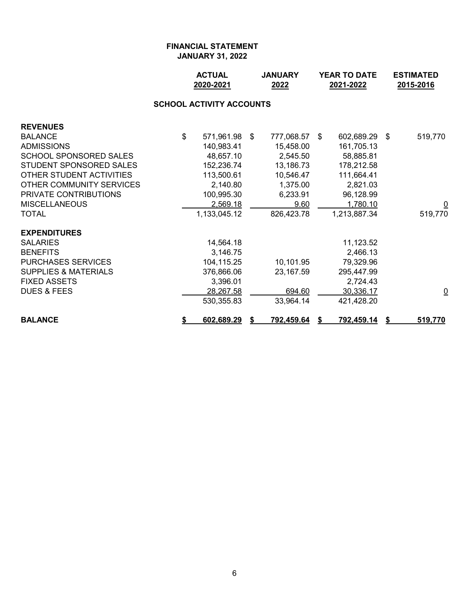|                                 |    | <b>ACTUAL</b><br>2020-2021 |  | <b>JANUARY</b><br>2022 | YEAR TO DATE<br>2021-2022 |                   |     | <b>ESTIMATED</b><br>2015-2016 |  |  |  |  |
|---------------------------------|----|----------------------------|--|------------------------|---------------------------|-------------------|-----|-------------------------------|--|--|--|--|
| <b>SCHOOL ACTIVITY ACCOUNTS</b> |    |                            |  |                        |                           |                   |     |                               |  |  |  |  |
| <b>REVENUES</b>                 |    |                            |  |                        |                           |                   |     |                               |  |  |  |  |
| <b>BALANCE</b>                  | \$ | 571,961.98 \$              |  | 777,068.57             | \$                        | 602,689.29        | -\$ | 519,770                       |  |  |  |  |
| <b>ADMISSIONS</b>               |    | 140,983.41                 |  | 15,458.00              |                           | 161,705.13        |     |                               |  |  |  |  |
| <b>SCHOOL SPONSORED SALES</b>   |    | 48,657.10                  |  | 2,545.50               |                           | 58,885.81         |     |                               |  |  |  |  |
| STUDENT SPONSORED SALES         |    | 152,236.74                 |  | 13,186.73              |                           | 178,212.58        |     |                               |  |  |  |  |
| OTHER STUDENT ACTIVITIES        |    | 113,500.61                 |  | 10,546.47              |                           | 111,664.41        |     |                               |  |  |  |  |
| OTHER COMMUNITY SERVICES        |    | 2,140.80                   |  | 1,375.00               |                           | 2,821.03          |     |                               |  |  |  |  |
| PRIVATE CONTRIBUTIONS           |    | 100,995.30                 |  | 6,233.91               |                           | 96,128.99         |     |                               |  |  |  |  |
| <b>MISCELLANEOUS</b>            |    | 2,569.18                   |  | 9.60                   |                           | 1,780.10          |     |                               |  |  |  |  |
| <b>TOTAL</b>                    |    | 1,133,045.12               |  | 826,423.78             |                           | 1,213,887.34      |     | 519,770                       |  |  |  |  |
| <b>EXPENDITURES</b>             |    |                            |  |                        |                           |                   |     |                               |  |  |  |  |
| <b>SALARIES</b>                 |    | 14,564.18                  |  |                        |                           | 11,123.52         |     |                               |  |  |  |  |
| <b>BENEFITS</b>                 |    | 3,146.75                   |  |                        |                           | 2,466.13          |     |                               |  |  |  |  |
| <b>PURCHASES SERVICES</b>       |    | 104,115.25                 |  | 10,101.95              |                           | 79,329.96         |     |                               |  |  |  |  |
| <b>SUPPLIES &amp; MATERIALS</b> |    | 376,866.06                 |  | 23,167.59              |                           | 295,447.99        |     |                               |  |  |  |  |
| <b>FIXED ASSETS</b>             |    | 3,396.01                   |  |                        |                           | 2,724.43          |     |                               |  |  |  |  |
| <b>DUES &amp; FEES</b>          |    | 28,267.58                  |  | 694.60                 |                           | 30,336.17         |     | $\overline{\mathsf{C}}$       |  |  |  |  |
|                                 |    | 530,355.83                 |  | 33,964.14              |                           | 421,428.20        |     |                               |  |  |  |  |
| <b>BALANCE</b>                  | \$ | 602,689.29                 |  | <u>792,459.64</u>      |                           | <u>792,459.14</u> |     | 519,770                       |  |  |  |  |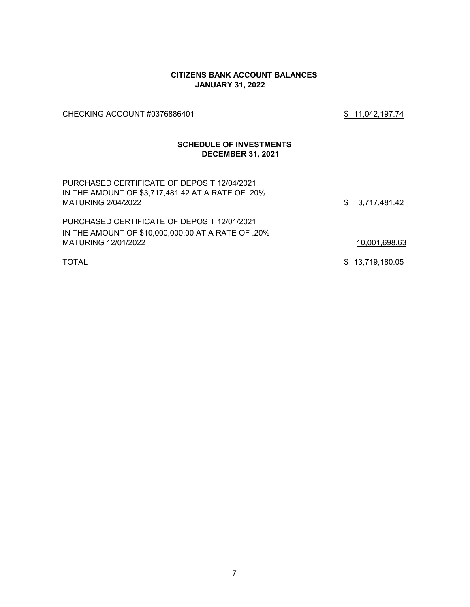#### **CITIZENS BANK ACCOUNT BALANCES JANUARY 31, 2022**

CHECKING ACCOUNT #0376886401 \$ 11,042,197.74

# **SCHEDULE OF INVESTMENTS DECEMBER 31, 2021**

| PURCHASED CERTIFICATE OF DEPOSIT 12/04/2021<br>IN THE AMOUNT OF \$3,717,481.42 AT A RATE OF .20%<br>MATURING 2/04/2022 | \$3,717,481.42  |
|------------------------------------------------------------------------------------------------------------------------|-----------------|
| PURCHASED CERTIFICATE OF DEPOSIT 12/01/2021                                                                            |                 |
| IN THE AMOUNT OF \$10,000,000.00 AT A RATE OF .20%                                                                     |                 |
| MATURING 12/01/2022                                                                                                    | 10,001,698.63   |
| <b>TOTAL</b>                                                                                                           | \$13,719,180.05 |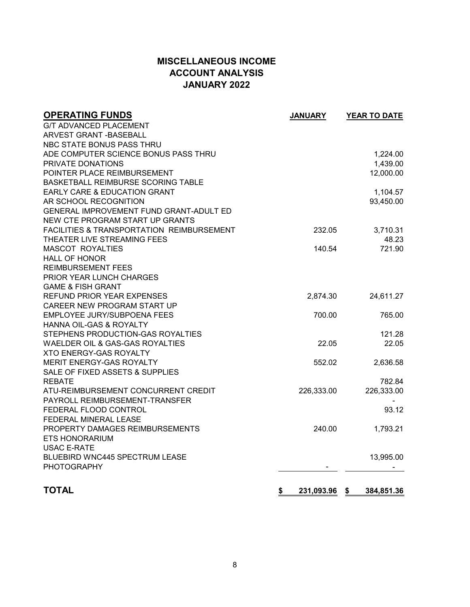# **MISCELLANEOUS INCOME ACCOUNT ANALYSIS JANUARY 2022**

| <b>OPERATING FUNDS</b>                               | <b>JANUARY</b>   | YEAR TO DATE     |
|------------------------------------------------------|------------------|------------------|
| <b>G/T ADVANCED PLACEMENT</b>                        |                  |                  |
| <b>ARVEST GRANT - BASEBALL</b>                       |                  |                  |
| NBC STATE BONUS PASS THRU                            |                  |                  |
| ADE COMPUTER SCIENCE BONUS PASS THRU                 |                  | 1,224.00         |
| PRIVATE DONATIONS                                    |                  | 1,439.00         |
| POINTER PLACE REIMBURSEMENT                          |                  | 12,000.00        |
| BASKETBALL REIMBURSE SCORING TABLE                   |                  |                  |
| EARLY CARE & EDUCATION GRANT                         |                  | 1,104.57         |
| AR SCHOOL RECOGNITION                                |                  | 93,450.00        |
| GENERAL IMPROVEMENT FUND GRANT-ADULT ED              |                  |                  |
| NEW CTE PROGRAM START UP GRANTS                      |                  |                  |
| <b>FACILITIES &amp; TRANSPORTATION REIMBURSEMENT</b> | 232.05           | 3,710.31         |
| THEATER LIVE STREAMING FEES                          |                  | 48.23            |
| <b>MASCOT ROYALTIES</b>                              | 140.54           | 721.90           |
| <b>HALL OF HONOR</b>                                 |                  |                  |
| <b>REIMBURSEMENT FEES</b>                            |                  |                  |
| PRIOR YEAR LUNCH CHARGES                             |                  |                  |
| <b>GAME &amp; FISH GRANT</b>                         |                  |                  |
| REFUND PRIOR YEAR EXPENSES                           | 2,874.30         | 24,611.27        |
| CAREER NEW PROGRAM START UP                          |                  |                  |
| EMPLOYEE JURY/SUBPOENA FEES                          | 700.00           | 765.00           |
| HANNA OIL-GAS & ROYALTY                              |                  |                  |
| STEPHENS PRODUCTION-GAS ROYALTIES                    |                  | 121.28           |
| WAELDER OIL & GAS-GAS ROYALTIES                      | 22.05            | 22.05            |
| <b>XTO ENERGY-GAS ROYALTY</b>                        |                  |                  |
| MERIT ENERGY-GAS ROYALTY                             | 552.02           | 2,636.58         |
| SALE OF FIXED ASSETS & SUPPLIES                      |                  |                  |
| <b>REBATE</b>                                        |                  | 782.84           |
| ATU-REIMBURSEMENT CONCURRENT CREDIT                  | 226,333.00       | 226,333.00       |
| PAYROLL REIMBURSEMENT-TRANSFER                       |                  |                  |
| FEDERAL FLOOD CONTROL                                |                  | 93.12            |
| FEDERAL MINERAL LEASE                                |                  |                  |
| PROPERTY DAMAGES REIMBURSEMENTS                      | 240.00           | 1,793.21         |
| <b>ETS HONORARIUM</b>                                |                  |                  |
| <b>USAC E-RATE</b>                                   |                  |                  |
| BLUEBIRD WNC445 SPECTRUM LEASE                       |                  | 13,995.00        |
| PHOTOGRAPHY                                          |                  |                  |
| <b>TOTAL</b>                                         | \$<br>231,093.96 | \$<br>384,851.36 |
|                                                      |                  |                  |